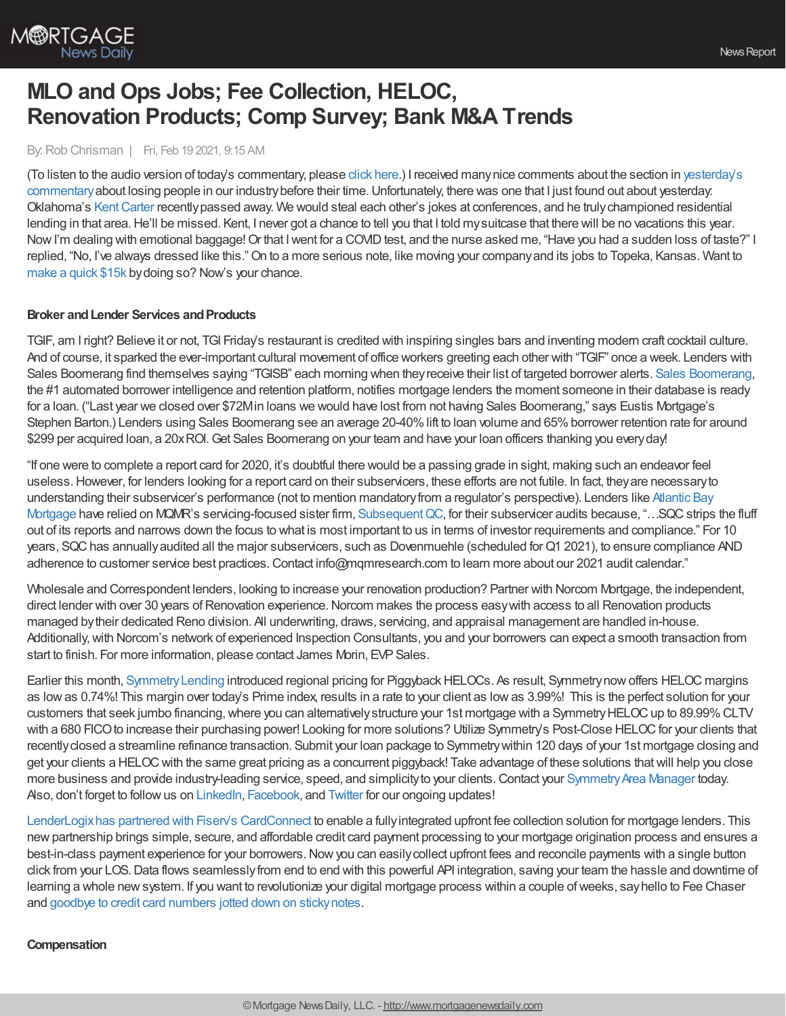

# **MLO and Ops Jobs; Fee Collection, HELOC, Renovation Products; Comp Survey; Bank M&A Trends**

## By:Rob Chrisman | Fri, Feb 19 2021, 9:15 AM

(To listen to the audio version of today's commentary, please click [here](https://linktr.ee/dailymortgagenews).) I received manynice comments about the section in yesterday's commentary about losing people in our industry before their time. Unfortunately, there was one that I just found out about yesterday. Oklahoma's [KentCarter](https://obituaries.normantranscript.com/obituary/kent-carter-1081612257) recentlypassed away. We would steal each other's jokes at conferences, and he trulychampioned residential lending in that area. He'll be missed. Kent, I never got a chance to tell you that I told my suitcase that there will be no vacations this year. Now I'm dealing with emotional baggage! Or that I went for a COVID test, and the nurse asked me, "Have you had a sudden loss of taste?" I replied, "No, I've always dressed like this."On to a more serious note, like moving your companyand its jobs to Topeka, Kansas. Want to [make](https://www.builderonline.com/land/local-markets/topeka-kansas-extends-choose-topeka-incentive-program-offering-up-to-15k-for-relocating-workers_o?) a quick \$15k bydoing so? Now's your chance.

## **Broker** and Lender Services and Products

TGIF, am I right? Believe it or not, TGI Friday's restaurant is credited with inspiring singles bars and inventing modern craft cocktail culture. And of course, it sparked the ever-important cultural movement of office workers greeting each other with "TGIF" once a week. Lenders with Sales Boomerang find themselves saying "TGISB" each morning when theyreceive their list of targeted borrower alerts. Sales [Boomerang,](https://hubs.ly/H0GwwXR0) the #1 automated borrower intelligence and retention platform, notifies mortgage lenders the moment someone in their database is ready for a loan. ("Last year we closed over \$72Min loans we would have lost from not having Sales Boomerang," says Eustis Mortgage's Stephen Barton.) Lenders using Sales Boomerang see an average 20-40% lift to loan volume and 65% borrower retention rate for around \$299 per acquired loan, a 20x ROI. Get Sales Boomerang on your team and have your loan officers thanking you every day!

"If one were to complete a report card for 2020, it's doubtful there would be a passing grade in sight, making such an endeavor feel useless.However, for lenders looking for a report card on their subservicers, these efforts are not futile. In fact, theyare necessaryto understanding their subservicer's performance (not to mention mandatoryfrom a regulator's perspective). Lenders like Atlantic Bay Mortgage have relied on MQMR's [servicing-focused](https://www.mqmresearch.com/wp-content/uploads/SQC_Case_Study_Atlantic_Bay.pdf) sister firm, Subsequent QC, for their subservicer audits because, "...SQC strips the fluff out of its reports and narrows down the focus to what is most important to us in terms of investor requirements and compliance." For 10 years, SQChas annuallyaudited all the major subservicers, such as Dovenmuehle (scheduled forQ1 2021), to ensure compliance AND adherence to customer service best practices. Contact info@mqmresearch.com to learn more about our 2021 audit calendar."

Wholesale and Correspondent lenders, looking to increase your renovation production? Partner with Norcom Mortgage, the independent, direct lender with over 30 years of Renovation experience. Norcom makes the process easy with access to all Renovation products managed bytheir dedicated Reno division. All underwriting, draws, servicing, and appraisal management are handled in-house. Additionally, with Norcom's network of experienced Inspection Consultants, you and your borrowers can expect a smooth transaction from start to finish. For more information, please contact James Morin, EVP Sales.

Earlier this month, Symmetry Lending introduced regional pricing for Piggyback HELOCs. As result, Symmetry now offers HELOC margins as lowas 0.74%! This margin over today's Prime index, results in a rate to your client as lowas 3.99%! This is the perfect solution for your customers that seek jumbo financing, where you can alternatively structure your 1st mortgage with a Symmetry HELOC up to 89.99% CLTV with a 680 FICO to increase their purchasing power! Looking for more solutions? Utilize Symmetry's Post-Close HELOC for your clients that recentlyclosed a streamline refinance transaction. Submit your loan package to Symmetrywithin 120 days of your 1st mortgage closing and get your clients a HELOCwith the same great pricing as a concurrent piggyback! Take advantage of these solutions thatwill help you close more business and provide industry-leading service, speed, and simplicity to your clients. Contact your Symmetry Area Manager today. Also, don't forget to follow us on [LinkedIn](https://www.linkedin.com/company/symmetryheloc/), [Facebook](https://www.facebook.com/symmetryHELOC/), and [Twitter](https://twitter.com/symmetryheloc) for our ongoing updates!

[LenderLogixhas](https://blog.lenderlogix.com/lenderlogix-fee-chaser-integrated-with-cardconnect) partnered with Fiserv's CardConnect to enable a fullyintegrated upfront fee collection solution for mortgage lenders. This new partnership brings simple, secure, and affordable credit card payment processing to your mortgage origination process and ensures a best-in-class payment experience for your borrowers. Now you can easily collect upfront fees and reconcile payments with a single button click from your LOS.Data flows seamlesslyfrom end to end with this powerful API integration, saving your team the hassle and downtime of learning a whole newsystem. If you want to revolutionize your digital mortgage process within a couple ofweeks, sayhello to Fee Chaser and goodbye to credit card numbers jotted down on [stickynotes](https://lenderlogix.com/fee-chaser?s=c20213).

## **Compensation**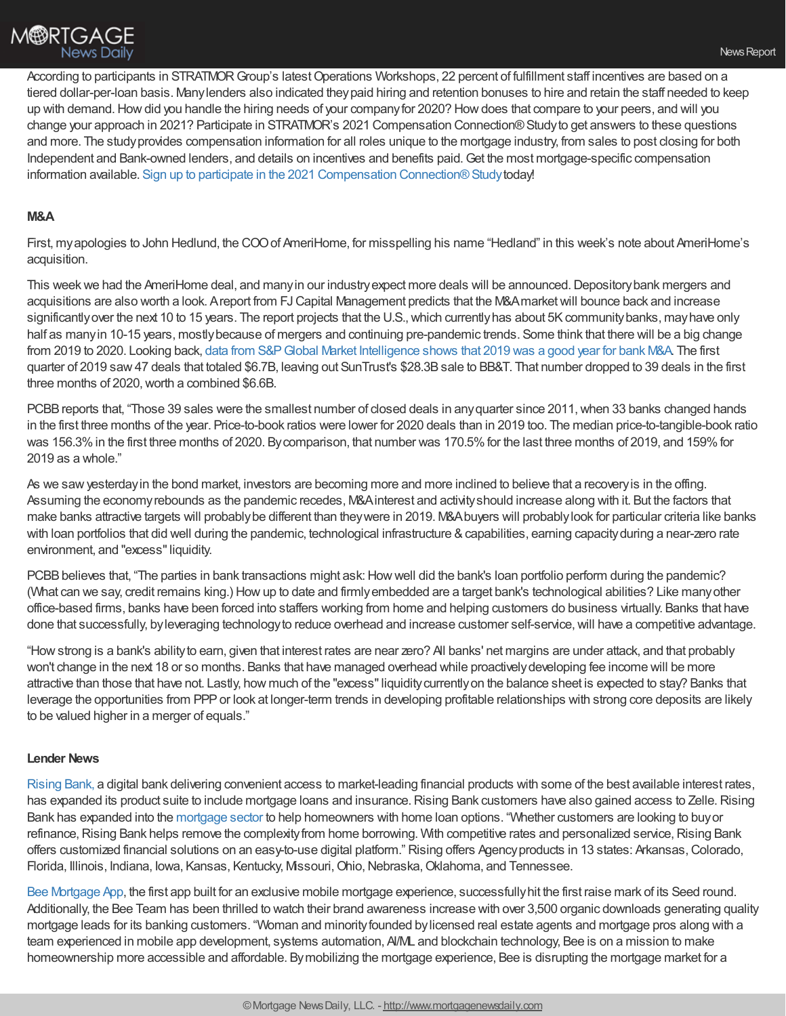

According to participants in STRATMOR Group's latest Operations Workshops, 22 percent of fulfillment staff incentives are based on a tiered dollar-per-loan basis. Manylenders also indicated theypaid hiring and retention bonuses to hire and retain the staff needed to keep up with demand.Howdid you handle the hiring needs of your companyfor 2020? Howdoes that compare to your peers, and will you change your approach in 2021? Participate in STRATMOR's 2021 Compensation Connection®Studyto get answers to these questions and more. The studyprovides compensation information for all roles unique to the mortgage industry, from sales to post closing for both Independent and Bank-owned lenders, and details on incentives and benefits paid.Get the most mortgage-specific compensation information available. Sign up to participate in the 2021 Compensation Connection® Study today!

## **M&A**

First, myapologies to John Hedlund, the COOof AmeriHome, for misspelling his name "Hedland" in this week's note about AmeriHome's acquisition.

This week we had the AmeriHome deal, and many in our industry expect more deals will be announced. Depository bank mergers and acquisitions are also worth a look. Areport from FJCapital Management predicts that the M&Amarketwill bounce back and increase significantly over the next 10 to 15 years. The report projects that the U.S., which currently has about 5K community banks, may have only half as many in 10-15 years, mostly because of mergers and continuing pre-pandemic trends. Some think that there will be a big change from 2019 to 2020. Looking back, data from S&PGlobal Market [Intelligence](https://www.wipfli.com/insights/articles/fi-covid-community-bank-manda-activity-slows) shows that 2019 was a good year for bank M&A. The first quarter of 2019 saw47 deals that totaled \$6.7B, leaving out SunTrust's \$28.3Bsale to BB&T. That number dropped to 39 deals in the first three months of 2020, worth a combined \$6.6B.

PCBB reports that, "Those 39 sales were the smallest number of closed deals in any quarter since 2011, when 33 banks changed hands in the first three months of the year. Price-to-book ratios were lower for 2020 deals than in 2019 too. The median price-to-tangible-book ratio was 156.3% in the first three months of 2020. By comparison, that number was 170.5% for the last three months of 2019, and 159% for 2019 as a whole."

As we sawyesterdayin the bond market, investors are becoming more and more inclined to believe that a recoveryis in the offing. Assuming the economyrebounds as the pandemic recedes, M&Ainterest and activityshould increase along with it. But the factors that make banks attractive targets will probablybe different than theywere in 2019. M&Abuyers will probablylook for particular criteria like banks with loan portfolios that did well during the pandemic, technological infrastructure & capabilities, earning capacity during a near-zero rate environment, and "excess" liquidity.

PCBB believes that, "The parties in bank transactions might ask: How well did the bank's loan portfolio perform during the pandemic? (What can we say, credit remains king.) Howup to date and firmlyembedded are a target bank's technological abilities? Like manyother office-based firms, banks have been forced into staffers working from home and helping customers do business virtually. Banks that have done that successfully, by leveraging technology to reduce overhead and increase customer self-service, will have a competitive advantage.

"Howstrong is a bank's abilityto earn, given that interest rates are near zero? All banks' net margins are under attack, and that probably won't change in the next 18 or so months. Banks that have managed overhead while proactivelydeveloping fee income will be more attractive than those that have not. Lastly, how much of the "excess" liquidity currently on the balance sheet is expected to stay? Banks that leverage the opportunities from PPPor look at longer-term trends in developing profitable relationships with strong core deposits are likely to be valued higher in a merger of equals."

## **Lender News**

[Rising](https://www.risingbank.com/) Bank, a digital bank delivering convenient access to market-leading financial products with some of the best available interest rates, has expanded its product suite to include mortgage loans and insurance. Rising Bank customers have also gained access to Zelle. Rising Bank has expanded into the [mortgage](https://www.risingbank.com/mortgage) sector to help homeowners with home loan options. "Whether customers are looking to buyor refinance, Rising Bank helps remove the complexity from home borrowing. With competitive rates and personalized service, Rising Bank offers customized financial solutions on an easy-to-use digital platform." Rising offers Agencyproducts in 13 states: Arkansas,Colorado, Florida, Illinois, Indiana, Iowa, Kansas, Kentucky, Missouri, Ohio, Nebraska, Oklahoma, and Tennessee.

Bee [Mortgage](https://www.beemortgageapp.com/) App, the first app built for an exclusive mobile mortgage experience, successfullyhit the first raise mark of its Seed round. Additionally, the Bee Team has been thrilled to watch their brand awareness increase with over 3,500 organic downloads generating quality mortgage leads for its banking customers. "Woman and minorityfounded bylicensed real estate agents and mortgage pros along with a team experienced in mobile app development, systems automation, AI/ML and blockchain technology, Bee is on a mission to make homeownership more accessible and affordable. Bymobilizing the mortgage experience, Bee is disrupting the mortgage market for a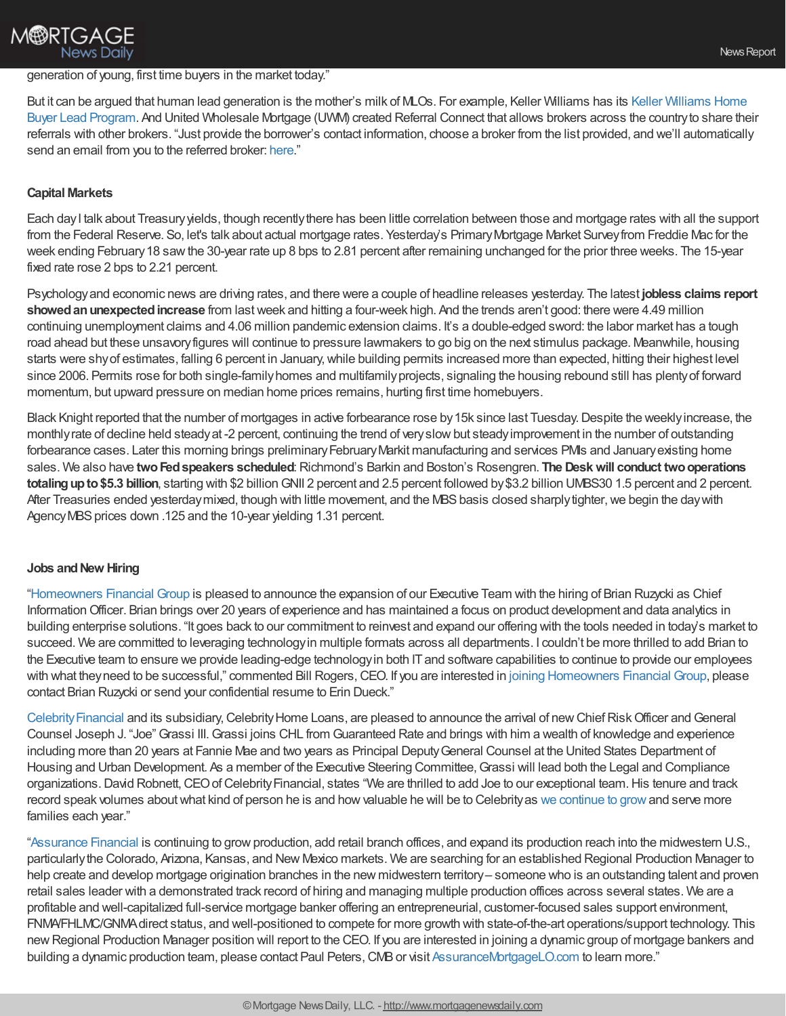# generation of young, first time buyers in the market today."

But it can be argued that human lead generation is the mother's milk of MLOs. For example, Keller Williams has its Keller Williams Home Buyer Lead Program. And United [Wholesale](https://outfront.kw.com/training/the-lead-generation-model-your-ultimate-guide-to-business-growth/) Mortgage (UWM) created Referral Connect that allows brokers across the countryto share their referrals with other brokers. "Just provide the borrower's contact information, choose a broker from the list provided, and we'll automatically send an email from you to the referred broker: [here.](https://cl.s4.exct.net/?qs=dd95b9bc143a2f030eae1163b0889ceab93cbaa6cf2cb40c6597fcf37bdb6736d0192ca08bee1442ce8f51d62675c6cb57c060883f1f418d)"

## **Capital Markets**

**M®RTGAGE** 

**News Daily** 

Each day I talk about Treasury yields, though recently there has been little correlation between those and mortgage rates with all the support from the Federal Reserve. So, let's talk about actual mortgage rates. Yesterday's Primary Mortgage Market Survey from Freddie Mac for the week ending February 18 saw the 30-year rate up 8 bps to 2.81 percent after remaining unchanged for the prior three weeks. The 15-year fixed rate rose 2 bps to 2.21 percent.

Psychologyand economic news are driving rates, and there were a couple of headline releases yesterday. The latest **jobless claims report showedanunexpectedincrease** from lastweek and hitting a four-week high. And the trends aren't good: there were 4.49 million continuing unemployment claims and 4.06 million pandemic extension claims. It's a double-edged sword: the labor market has a tough road ahead but these unsavoryfigures will continue to pressure lawmakers to go big on the next stimulus package. Meanwhile, housing starts were shyof estimates, falling 6 percent in January,while building permits increased more than expected, hitting their highest level since 2006. Permits rose for both single-familyhomes and multifamilyprojects, signaling the housing rebound still has plentyof forward momentum, but upward pressure on median home prices remains, hurting first time homebuyers.

Black Knight reported that the number of mortgages in active forbearance rose by 15k since last Tuesday. Despite the weekly increase, the monthlyrate of decline held steadyat -2 percent, continuing the trend of veryslowbut steadyimprovement in the number of outstanding forbearance cases. Later this morning brings preliminary February Markit manufacturing and services PMIs and January existing home sales. We also have **twoFedspeakers scheduled**:Richmond's Barkin and Boston's Rosengren. **The Deskwill conduct twooperations totaling up to \$5.3 billion**, starting with \$2 billion GNII 2 percent and 2.5 percent followed by \$3.2 billion UMBS30 1.5 percent and 2 percent. After Treasuries ended yesterday mixed, though with little movement, and the MBS basis closed sharply tighter, we begin the day with Agency MBS prices down .125 and the 10-year yielding 1.31 percent.

## **Jobs** and New Hiring

["Homeowners](https://www.homeownersfg.com/) Financial Group is pleased to announce the expansion of our Executive Team with the hiring of Brian Ruzycki as Chief InformationOfficer. Brian brings over 20 years of experience and has maintained a focus on product development and data analytics in building enterprise solutions. "It goes back to our commitment to reinvest and expand our offering with the tools needed in today's market to succeed. We are committed to leveraging technologyin multiple formats across all departments. I couldn't be more thrilled to add Brian to the Executive team to ensure we provide leading-edge technology in both IT and software capabilities to continue to provide our employees with what they need to be successful," commented Bill Rogers, CEO. If you are interested in joining [Homeowners](https://www.homeownersfg.com/careers/) Financial Group, please contact Brian Ruzycki or send your confidential resume to Erin Dueck."

Celebrity Financial and its subsidiary, Celebrity Home Loans, are pleased to announce the arrival of new Chief Risk Officer and General Counsel Joseph J. "Joe"Grassi III.Grassi joins CHL from Guaranteed Rate and brings with him a wealth of knowledge and experience including more than 20 years at Fannie Mae and two years as Principal DeputyGeneral Counsel at the United States Department of Housing and Urban Development. As a member of the Executive Steering Committee, Grassi will lead both the Legal and Compliance organizations. David Robnett, CEO of Celebrity Financial, states "We are thrilled to add Joe to our exceptional team. His tenure and track record speak volumes about what kind of person he is and how valuable he will be to Celebrity as we [continue](https://workforcenow.adp.com/mascsr/default/mdf/recruitment/recruitment.html?cid=6f15216d-21a8-401e-89f1-51b5b6a2d521&ccId=19000101_000001) to grow and serve more families each year."

["Assurance](http://www.assurancemortgagelo.com/) Financial is continuing to growproduction, add retail branch offices, and expand its production reach into the midwestern U.S., particularlythe Colorado, Arizona, Kansas, and New Mexico markets. We are searching for an established Regional Production Manager to help create and develop mortgage origination branches in the new midwestern territory– someone who is an outstanding talent and proven retail sales leader with a demonstrated track record of hiring and managing multiple production offices across several states. We are a profitable and well-capitalized full-service mortgage banker offering an entrepreneurial, customer-focused sales support environment, FNMA/FHLMC/GNMAdirect status, and well-positioned to compete for more growth with state-of-the-art operations/support technology. This new Regional Production Manager position will report to the CEO. If you are interested in joining a dynamic group of mortgage bankers and building a dynamic production team, please contact Paul Peters, CMB or visit [AssuranceMortgageLO.com](http://www.assurancemortgagelo.com/) to learn more."